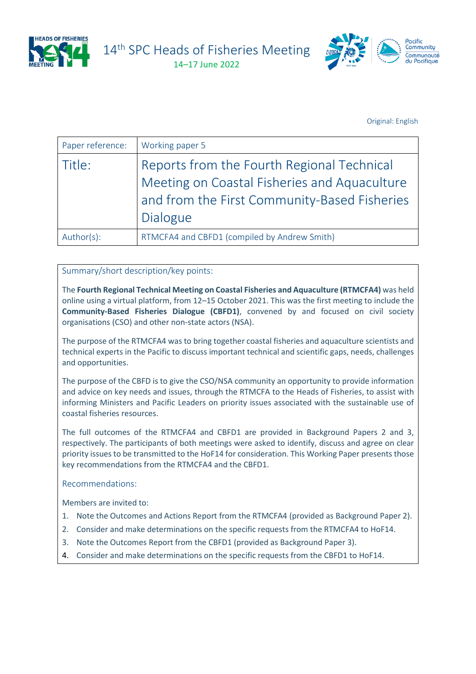

14<sup>th</sup> SPC Heads of Fisheries Meeting

14–17 June 2022



Original: English

| Paper reference: | Working paper 5                                                                                                                                        |
|------------------|--------------------------------------------------------------------------------------------------------------------------------------------------------|
| Title:           | Reports from the Fourth Regional Technical<br>Meeting on Coastal Fisheries and Aquaculture<br>and from the First Community-Based Fisheries<br>Dialogue |
| Author(s):       | RTMCFA4 and CBFD1 (compiled by Andrew Smith)                                                                                                           |

### Summary/short description/key points:

The **Fourth Regional Technical Meeting on Coastal Fisheries and Aquaculture (RTMCFA4)** was held online using a virtual platform, from 12–15 October 2021. This was the first meeting to include the **Community-Based Fisheries Dialogue (CBFD1)**, convened by and focused on civil society organisations (CSO) and other non-state actors (NSA).

The purpose of the RTMCFA4 was to bring together coastal fisheries and aquaculture scientists and technical experts in the Pacific to discuss important technical and scientific gaps, needs, challenges and opportunities.

The purpose of the CBFD is to give the CSO/NSA community an opportunity to provide information and advice on key needs and issues, through the RTMCFA to the Heads of Fisheries, to assist with informing Ministers and Pacific Leaders on priority issues associated with the sustainable use of coastal fisheries resources.

The full outcomes of the RTMCFA4 and CBFD1 are provided in Background Papers 2 and 3, respectively. The participants of both meetings were asked to identify, discuss and agree on clear priority issues to be transmitted to the HoF14 for consideration. This Working Paper presents those key recommendations from the RTMCFA4 and the CBFD1.

#### Recommendations:

Members are invited to:

- 1. Note the Outcomes and Actions Report from the RTMCFA4 (provided as Background Paper 2).
- 2. Consider and make determinations on the specific requests from the RTMCFA4 to HoF14.
- 3. Note the Outcomes Report from the CBFD1 (provided as Background Paper 3).
- 4. Consider and make determinations on the specific requests from the CBFD1 to HoF14.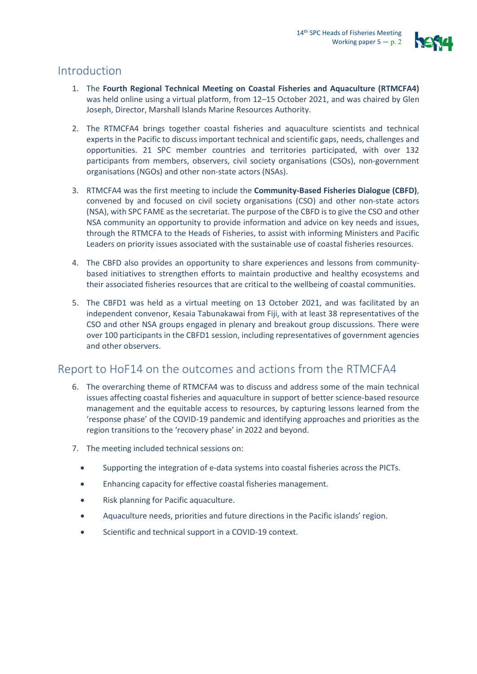

# Introduction

- 1. The **Fourth Regional Technical Meeting on Coastal Fisheries and Aquaculture (RTMCFA4)** was held online using a virtual platform, from 12–15 October 2021, and was chaired by Glen Joseph, Director, Marshall Islands Marine Resources Authority.
- 2. The RTMCFA4 brings together coastal fisheries and aquaculture scientists and technical experts in the Pacific to discuss important technical and scientific gaps, needs, challenges and opportunities. 21 SPC member countries and territories participated, with over 132 participants from members, observers, civil society organisations (CSOs), non-government organisations (NGOs) and other non-state actors (NSAs).
- 3. RTMCFA4 was the first meeting to include the **Community-Based Fisheries Dialogue (CBFD)**, convened by and focused on civil society organisations (CSO) and other non-state actors (NSA), with SPC FAME as the secretariat. The purpose of the CBFD is to give the CSO and other NSA community an opportunity to provide information and advice on key needs and issues, through the RTMCFA to the Heads of Fisheries, to assist with informing Ministers and Pacific Leaders on priority issues associated with the sustainable use of coastal fisheries resources.
- 4. The CBFD also provides an opportunity to share experiences and lessons from communitybased initiatives to strengthen efforts to maintain productive and healthy ecosystems and their associated fisheries resources that are critical to the wellbeing of coastal communities.
- 5. The CBFD1 was held as a virtual meeting on 13 October 2021, and was facilitated by an independent convenor, Kesaia Tabunakawai from Fiji, with at least 38 representatives of the CSO and other NSA groups engaged in plenary and breakout group discussions. There were over 100 participants in the CBFD1 session, including representatives of government agencies and other observers.

# Report to HoF14 on the outcomes and actions from the RTMCFA4

- 6. The overarching theme of RTMCFA4 was to discuss and address some of the main technical issues affecting coastal fisheries and aquaculture in support of better science-based resource management and the equitable access to resources, by capturing lessons learned from the 'response phase' of the COVID-19 pandemic and identifying approaches and priorities as the region transitions to the 'recovery phase' in 2022 and beyond.
- 7. The meeting included technical sessions on:
	- Supporting the integration of e-data systems into coastal fisheries across the PICTs.
	- Enhancing capacity for effective coastal fisheries management.
	- Risk planning for Pacific aquaculture.
	- Aquaculture needs, priorities and future directions in the Pacific islands' region.
	- Scientific and technical support in a COVID-19 context.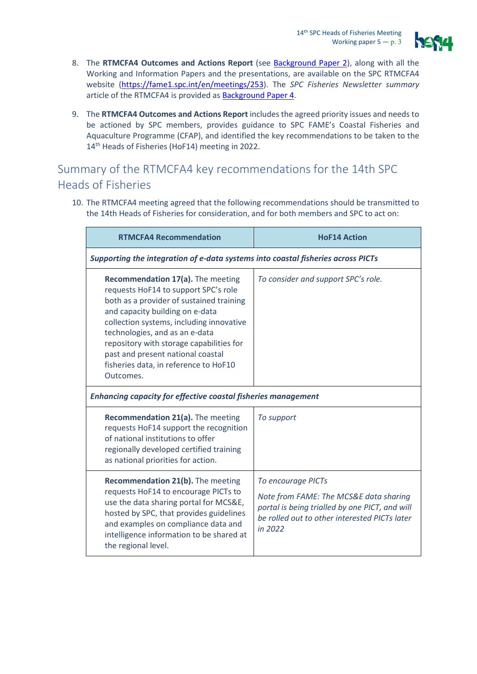

- 8. The **RTMCFA4 Outcomes and Actions Report** (see [Background](https://www.spc.int/DigitalLibrary/Doc/FAME/Meetings/RTMCF/4/RTMCFA4_Outcomes_Actions_Report_EN.pdf) Paper 2), along with all the Working and Information Papers and the presentations, are available on the SPC RTMCFA4 website [\(https://fame1.spc.int/en/meetings/253\)](https://fame1.spc.int/en/meetings/253). The *SPC Fisheries Newsletter summary* article of the RTMCFA4 is provided a[s Background Paper 4.](https://www.spc.int/DigitalLibrary/Doc/FAME/InfoBull/FishNews/166/FishNews166_14_Smith.pdf)
- 9. The **RTMCFA4 Outcomes and Actions Report** includes the agreed priority issues and needs to be actioned by SPC members, provides guidance to SPC FAME's Coastal Fisheries and Aquaculture Programme (CFAP), and identified the key recommendations to be taken to the 14<sup>th</sup> Heads of Fisheries (HoF14) meeting in 2022.

## Summary of the RTMCFA4 key recommendations for the 14th SPC Heads of Fisheries

10. The RTMCFA4 meeting agreed that the following recommendations should be transmitted to the 14th Heads of Fisheries for consideration, and for both members and SPC to act on:

| <b>RTMCFA4 Recommendation</b>                                                                                                                                                                                                                                                                                                                                                 | <b>HoF14 Action</b>                                                                                                                                                        |  |  |
|-------------------------------------------------------------------------------------------------------------------------------------------------------------------------------------------------------------------------------------------------------------------------------------------------------------------------------------------------------------------------------|----------------------------------------------------------------------------------------------------------------------------------------------------------------------------|--|--|
| Supporting the integration of e-data systems into coastal fisheries across PICTs                                                                                                                                                                                                                                                                                              |                                                                                                                                                                            |  |  |
| Recommendation 17(a). The meeting<br>requests HoF14 to support SPC's role<br>both as a provider of sustained training<br>and capacity building on e-data<br>collection systems, including innovative<br>technologies, and as an e-data<br>repository with storage capabilities for<br>past and present national coastal<br>fisheries data, in reference to HoF10<br>Outcomes. | To consider and support SPC's role.                                                                                                                                        |  |  |
| <b>Enhancing capacity for effective coastal fisheries management</b>                                                                                                                                                                                                                                                                                                          |                                                                                                                                                                            |  |  |
| Recommendation 21(a). The meeting<br>requests HoF14 support the recognition<br>of national institutions to offer<br>regionally developed certified training<br>as national priorities for action.                                                                                                                                                                             | To support                                                                                                                                                                 |  |  |
| Recommendation 21(b). The meeting<br>requests HoF14 to encourage PICTs to<br>use the data sharing portal for MCS&E,<br>hosted by SPC, that provides guidelines<br>and examples on compliance data and<br>intelligence information to be shared at<br>the regional level.                                                                                                      | To encourage PICTs<br>Note from FAME: The MCS&E data sharing<br>portal is being trialled by one PICT, and will<br>be rolled out to other interested PICTs later<br>in 2022 |  |  |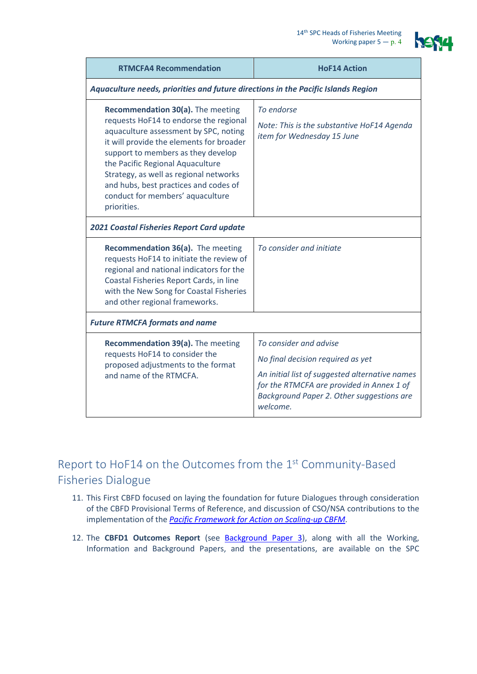

| <b>RTMCFA4 Recommendation</b>                                                                                                                                                                                                                                                                                                                                                    | <b>HoF14 Action</b>                                                                                                                                                                                                 |  |  |  |
|----------------------------------------------------------------------------------------------------------------------------------------------------------------------------------------------------------------------------------------------------------------------------------------------------------------------------------------------------------------------------------|---------------------------------------------------------------------------------------------------------------------------------------------------------------------------------------------------------------------|--|--|--|
| Aquaculture needs, priorities and future directions in the Pacific Islands Region                                                                                                                                                                                                                                                                                                |                                                                                                                                                                                                                     |  |  |  |
| Recommendation 30(a). The meeting<br>requests HoF14 to endorse the regional<br>aquaculture assessment by SPC, noting<br>it will provide the elements for broader<br>support to members as they develop<br>the Pacific Regional Aquaculture<br>Strategy, as well as regional networks<br>and hubs, best practices and codes of<br>conduct for members' aquaculture<br>priorities. | To endorse<br>Note: This is the substantive HoF14 Agenda<br>item for Wednesday 15 June                                                                                                                              |  |  |  |
| <b>2021 Coastal Fisheries Report Card update</b>                                                                                                                                                                                                                                                                                                                                 |                                                                                                                                                                                                                     |  |  |  |
| Recommendation 36(a). The meeting<br>requests HoF14 to initiate the review of<br>regional and national indicators for the<br>Coastal Fisheries Report Cards, in line<br>with the New Song for Coastal Fisheries<br>and other regional frameworks.                                                                                                                                | To consider and initiate                                                                                                                                                                                            |  |  |  |
| <b>Future RTMCFA formats and name</b>                                                                                                                                                                                                                                                                                                                                            |                                                                                                                                                                                                                     |  |  |  |
| Recommendation 39(a). The meeting<br>requests HoF14 to consider the<br>proposed adjustments to the format<br>and name of the RTMCFA.                                                                                                                                                                                                                                             | To consider and advise<br>No final decision required as yet<br>An initial list of suggested alternative names<br>for the RTMCFA are provided in Annex 1 of<br>Background Paper 2. Other suggestions are<br>welcome. |  |  |  |

# Report to HoF14 on the Outcomes from the 1st Community-Based Fisheries Dialogue

- 11. This First CBFD focused on laying the foundation for future Dialogues through consideration of the CBFD Provisional Terms of Reference, and discussion of CSO/NSA contributions to the implementation of the *[Pacific Framework for Action on Scaling-up CBFM](https://www.spc.int/DigitalLibrary/Doc/FAME/Reports/SPC_21_Framework_for_action.pdf)*.
- 12. The **CBFD1 Outcomes Report** (see [Background Paper 3\)](https://www.spc.int/DigitalLibrary/Doc/FAME/Meetings/RTMCF/4/CBFD_Outcomes_Report_final.pdf), along with all the Working, Information and Background Papers, and the presentations, are available on the SPC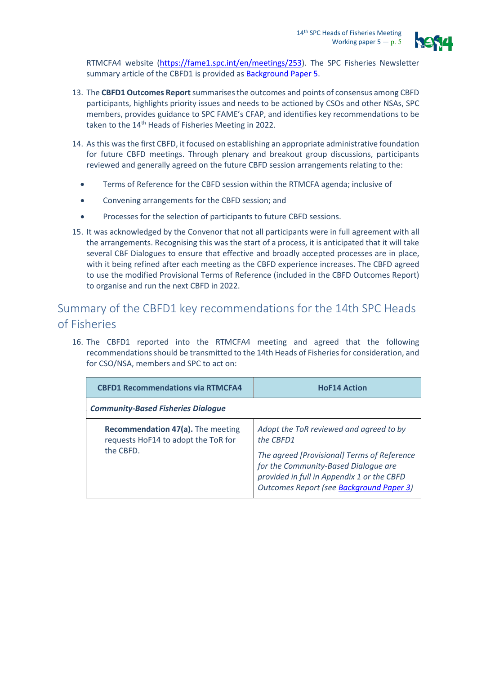

RTMCFA4 website [\(https://fame1.spc.int/en/meetings/253\)](https://fame1.spc.int/en/meetings/253). The SPC Fisheries Newsletter summary article of the CBFD1 is provided as **Background Paper 5**.

- 13. The **CBFD1 Outcomes Report**summarises the outcomes and points of consensus among CBFD participants, highlights priority issues and needs to be actioned by CSOs and other NSAs, SPC members, provides guidance to SPC FAME's CFAP, and identifies key recommendations to be taken to the 14<sup>th</sup> Heads of Fisheries Meeting in 2022.
- 14. As this was the first CBFD, it focused on establishing an appropriate administrative foundation for future CBFD meetings. Through plenary and breakout group discussions, participants reviewed and generally agreed on the future CBFD session arrangements relating to the:
	- Terms of Reference for the CBFD session within the RTMCFA agenda; inclusive of
	- Convening arrangements for the CBFD session; and
	- Processes for the selection of participants to future CBFD sessions.
- 15. It was acknowledged by the Convenor that not all participants were in full agreement with all the arrangements. Recognising this was the start of a process, it is anticipated that it will take several CBF Dialogues to ensure that effective and broadly accepted processes are in place, with it being refined after each meeting as the CBFD experience increases. The CBFD agreed to use the modified Provisional Terms of Reference (included in the CBFD Outcomes Report) to organise and run the next CBFD in 2022.

## Summary of the CBFD1 key recommendations for the 14th SPC Heads of Fisheries

16. The CBFD1 reported into the RTMCFA4 meeting and agreed that the following recommendations should be transmitted to the 14th Heads of Fisheries for consideration, and for CSO/NSA, members and SPC to act on:

| <b>CBFD1 Recommendations via RTMCFA4</b>                                              | <b>HoF14 Action</b>                                                                                                                                                                                                                   |  |  |
|---------------------------------------------------------------------------------------|---------------------------------------------------------------------------------------------------------------------------------------------------------------------------------------------------------------------------------------|--|--|
| <b>Community-Based Fisheries Dialogue</b>                                             |                                                                                                                                                                                                                                       |  |  |
| Recommendation 47(a). The meeting<br>requests HoF14 to adopt the ToR for<br>the CBFD. | Adopt the ToR reviewed and agreed to by<br>the CBFD1<br>The agreed [Provisional] Terms of Reference<br>for the Community-Based Dialogue are<br>provided in full in Appendix 1 or the CBFD<br>Outcomes Report (see Background Paper 3) |  |  |